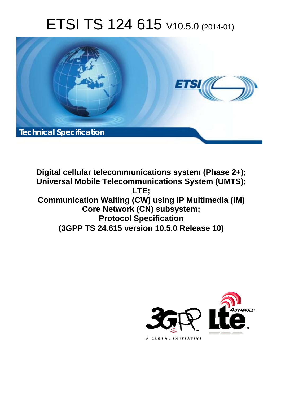# ETSI TS 124 615 V10.5.0 (2014-01)



**Digital cellular telecommunications system (Phase 2+); Universal Mobile Telecommunications System (UMTS); LTE; Communication Waiting (CW) using IP Multimedia (IM) Core Network (CN) subsystem; Protocol Specification (3GPP TS 24.615 version 10.5.0 Release 10)** 

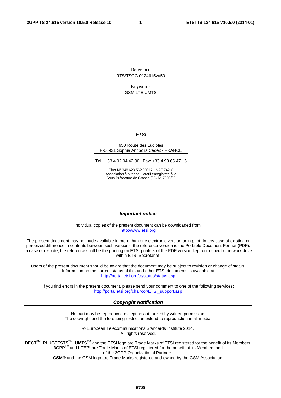Reference RTS/TSGC-0124615va50

> Keywords GSM,LTE,UMTS

#### *ETSI*

#### 650 Route des Lucioles F-06921 Sophia Antipolis Cedex - FRANCE

Tel.: +33 4 92 94 42 00 Fax: +33 4 93 65 47 16

Siret N° 348 623 562 00017 - NAF 742 C Association à but non lucratif enregistrée à la Sous-Préfecture de Grasse (06) N° 7803/88

#### *Important notice*

Individual copies of the present document can be downloaded from: [http://www.etsi.org](http://www.etsi.org/)

The present document may be made available in more than one electronic version or in print. In any case of existing or perceived difference in contents between such versions, the reference version is the Portable Document Format (PDF). In case of dispute, the reference shall be the printing on ETSI printers of the PDF version kept on a specific network drive within ETSI Secretariat.

Users of the present document should be aware that the document may be subject to revision or change of status. Information on the current status of this and other ETSI documents is available at <http://portal.etsi.org/tb/status/status.asp>

If you find errors in the present document, please send your comment to one of the following services: [http://portal.etsi.org/chaircor/ETSI\\_support.asp](http://portal.etsi.org/chaircor/ETSI_support.asp)

#### *Copyright Notification*

No part may be reproduced except as authorized by written permission. The copyright and the foregoing restriction extend to reproduction in all media.

> © European Telecommunications Standards Institute 2014. All rights reserved.

**DECT**TM, **PLUGTESTS**TM, **UMTS**TM and the ETSI logo are Trade Marks of ETSI registered for the benefit of its Members. **3GPP**TM and **LTE**™ are Trade Marks of ETSI registered for the benefit of its Members and of the 3GPP Organizational Partners.

**GSM**® and the GSM logo are Trade Marks registered and owned by the GSM Association.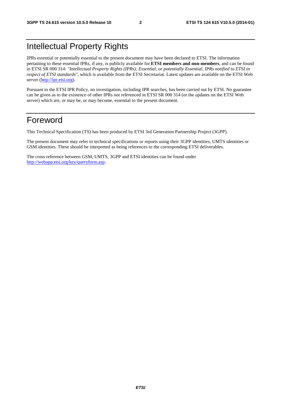# Intellectual Property Rights

IPRs essential or potentially essential to the present document may have been declared to ETSI. The information pertaining to these essential IPRs, if any, is publicly available for **ETSI members and non-members**, and can be found in ETSI SR 000 314: *"Intellectual Property Rights (IPRs); Essential, or potentially Essential, IPRs notified to ETSI in respect of ETSI standards"*, which is available from the ETSI Secretariat. Latest updates are available on the ETSI Web server [\(http://ipr.etsi.org\)](http://webapp.etsi.org/IPR/home.asp).

Pursuant to the ETSI IPR Policy, no investigation, including IPR searches, has been carried out by ETSI. No guarantee can be given as to the existence of other IPRs not referenced in ETSI SR 000 314 (or the updates on the ETSI Web server) which are, or may be, or may become, essential to the present document.

# Foreword

This Technical Specification (TS) has been produced by ETSI 3rd Generation Partnership Project (3GPP).

The present document may refer to technical specifications or reports using their 3GPP identities, UMTS identities or GSM identities. These should be interpreted as being references to the corresponding ETSI deliverables.

The cross reference between GSM, UMTS, 3GPP and ETSI identities can be found under [http://webapp.etsi.org/key/queryform.asp.](http://webapp.etsi.org/key/queryform.asp)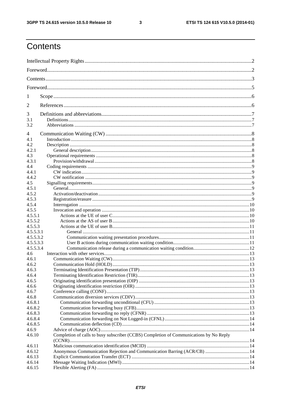$\mathbf{3}$ 

# Contents

| 1             |                                                                                        |  |  |  |  |  |  |
|---------------|----------------------------------------------------------------------------------------|--|--|--|--|--|--|
| 2             |                                                                                        |  |  |  |  |  |  |
| 3             |                                                                                        |  |  |  |  |  |  |
| 3.1           |                                                                                        |  |  |  |  |  |  |
| 3.2           |                                                                                        |  |  |  |  |  |  |
| 4             |                                                                                        |  |  |  |  |  |  |
| 4.1           |                                                                                        |  |  |  |  |  |  |
| 4.2           |                                                                                        |  |  |  |  |  |  |
| 4.2.1         |                                                                                        |  |  |  |  |  |  |
| 4.3           |                                                                                        |  |  |  |  |  |  |
| 4.3.1         |                                                                                        |  |  |  |  |  |  |
| 4.4           |                                                                                        |  |  |  |  |  |  |
| 4.4.1         |                                                                                        |  |  |  |  |  |  |
| 4.4.2         |                                                                                        |  |  |  |  |  |  |
| 4.5           |                                                                                        |  |  |  |  |  |  |
| 4.5.1         |                                                                                        |  |  |  |  |  |  |
| 4.5.2         |                                                                                        |  |  |  |  |  |  |
| 4.5.3         |                                                                                        |  |  |  |  |  |  |
| 4.5.4         |                                                                                        |  |  |  |  |  |  |
| 4.5.5         |                                                                                        |  |  |  |  |  |  |
| 4.5.5.1       |                                                                                        |  |  |  |  |  |  |
| 4.5.5.2       |                                                                                        |  |  |  |  |  |  |
| 4.5.5.3       |                                                                                        |  |  |  |  |  |  |
| 4.5.5.3.1     |                                                                                        |  |  |  |  |  |  |
| 4.5.5.3.2     |                                                                                        |  |  |  |  |  |  |
| 4.5.5.3.3     |                                                                                        |  |  |  |  |  |  |
| 4.5.5.3.4     |                                                                                        |  |  |  |  |  |  |
| $4.6^{\circ}$ |                                                                                        |  |  |  |  |  |  |
| 4.6.1         |                                                                                        |  |  |  |  |  |  |
| 4.6.2         |                                                                                        |  |  |  |  |  |  |
| 4.6.3         |                                                                                        |  |  |  |  |  |  |
| 4.6.4         |                                                                                        |  |  |  |  |  |  |
| 4.6.5         |                                                                                        |  |  |  |  |  |  |
| 4.6.6         |                                                                                        |  |  |  |  |  |  |
| 4.6.7         |                                                                                        |  |  |  |  |  |  |
| 4.6.8         |                                                                                        |  |  |  |  |  |  |
| 4.6.8.1       |                                                                                        |  |  |  |  |  |  |
| 4.6.8.2       |                                                                                        |  |  |  |  |  |  |
| 4.6.8.3       |                                                                                        |  |  |  |  |  |  |
| 4.6.8.4       |                                                                                        |  |  |  |  |  |  |
| 4.6.8.5       |                                                                                        |  |  |  |  |  |  |
| 4.6.9         |                                                                                        |  |  |  |  |  |  |
| 4.6.10        | Completion of calls to busy subscriber (CCBS) Completion of Communications by No Reply |  |  |  |  |  |  |
| 4.6.11        |                                                                                        |  |  |  |  |  |  |
| 4.6.12        | Anonymous Communication Rejection and Communication Barring (ACR/CB)  14               |  |  |  |  |  |  |
| 4.6.13        |                                                                                        |  |  |  |  |  |  |
| 4.6.14        |                                                                                        |  |  |  |  |  |  |
| 4.6.15        |                                                                                        |  |  |  |  |  |  |
|               |                                                                                        |  |  |  |  |  |  |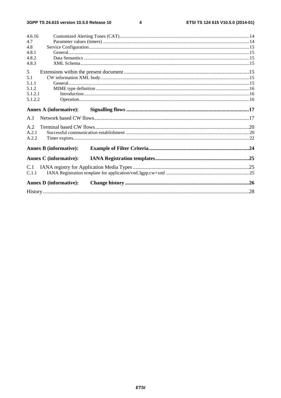$\overline{\mathbf{4}}$ 

| 4.6.16                        |  |
|-------------------------------|--|
| 4.7                           |  |
| 4.8                           |  |
| 4.8.1                         |  |
| 4.8.2                         |  |
| 4.8.3                         |  |
| 5                             |  |
| 5.1                           |  |
| 5.1.1                         |  |
| 5.1.2                         |  |
| 5.1.2.1                       |  |
| 5.1.2.2                       |  |
| <b>Annex A (informative):</b> |  |
| A.1                           |  |
| A.2                           |  |
| A.2.1                         |  |
| A.2.2                         |  |
| <b>Annex B</b> (informative): |  |
| <b>Annex C</b> (informative): |  |
| C.1                           |  |
| C.1.1                         |  |
| <b>Annex D</b> (informative): |  |
|                               |  |
|                               |  |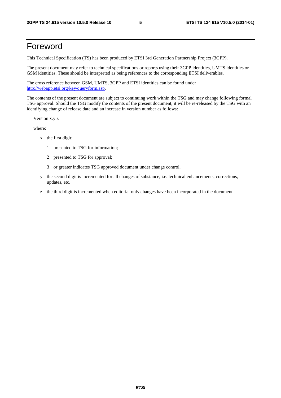# Foreword

This Technical Specification (TS) has been produced by ETSI 3rd Generation Partnership Project (3GPP).

The present document may refer to technical specifications or reports using their 3GPP identities, UMTS identities or GSM identities. These should be interpreted as being references to the corresponding ETSI deliverables.

The cross reference between GSM, UMTS, 3GPP and ETSI identities can be found under [http://webapp.etsi.org/key/queryform.asp.](http://webapp.etsi.org/key/queryform.asp)

The contents of the present document are subject to continuing work within the TSG and may change following formal TSG approval. Should the TSG modify the contents of the present document, it will be re-released by the TSG with an identifying change of release date and an increase in version number as follows:

Version x.y.z

where:

- x the first digit:
	- 1 presented to TSG for information;
	- 2 presented to TSG for approval;
	- 3 or greater indicates TSG approved document under change control.
- y the second digit is incremented for all changes of substance, i.e. technical enhancements, corrections, updates, etc.
- z the third digit is incremented when editorial only changes have been incorporated in the document.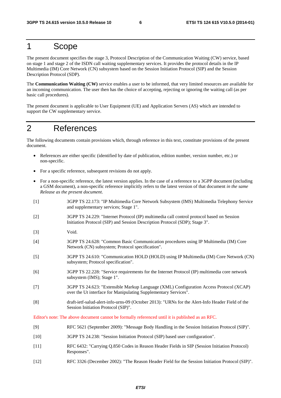## 1 Scope

The present document specifies the stage 3, Protocol Description of the Communication Waiting (CW) service, based on stage 1 and stage 2 of the ISDN call waiting supplementary services. It provides the protocol details in the IP Multimedia (IM) Core Network (CN) subsystem based on the Session Initiation Protocol (SIP) and the Session Description Protocol (SDP).

The **Communication Waiting (CW)** service enables a user to be informed, that very limited resources are available for an incoming communication. The user then has the choice of accepting, rejecting or ignoring the waiting call (as per basic call procedures).

The present document is applicable to User Equipment (UE) and Application Servers (AS) which are intended to support the CW supplementary service.

# 2 References

The following documents contain provisions which, through reference in this text, constitute provisions of the present document.

- References are either specific (identified by date of publication, edition number, version number, etc.) or non-specific.
- For a specific reference, subsequent revisions do not apply.
- For a non-specific reference, the latest version applies. In the case of a reference to a 3GPP document (including a GSM document), a non-specific reference implicitly refers to the latest version of that document *in the same Release as the present document*.
- [1] 3GPP TS 22.173: "IP Multimedia Core Network Subsystem (IMS) Multimedia Telephony Service and supplementary services; Stage 1".
- [2] 3GPP TS 24.229: "Internet Protocol (IP) multimedia call control protocol based on Session Initiation Protocol (SIP) and Session Description Protocol (SDP); Stage 3".
- [3] Void.
- [4] 3GPP TS 24.628: "Common Basic Communication procedures using IP Multimedia (IM) Core Network (CN) subsystem; Protocol specification".
- [5] 3GPP TS 24.610: "Communication HOLD (HOLD) using IP Multimedia (IM) Core Network (CN) subsystem; Protocol specification".
- [6] 3GPP TS 22.228: "Service requirements for the Internet Protocol (IP) multimedia core network subsystem (IMS); Stage 1".
- [7] 3GPP TS 24.623: "Extensible Markup Language (XML) Configuration Access Protocol (XCAP) over the Ut interface for Manipulating Supplementary Services".
- [8] draft-ietf-salud-alert-info-urns-09 (October 2013): "URNs for the Alert-Info Header Field of the Session Initiation Protocol (SIP)".

Editor's note: The above document cannot be formally referenced until it is published as an RFC.

- [9] RFC 5621 (September 2009): "Message Body Handling in the Session Initiation Protocol (SIP)".
- [10] 3GPP TS 24.238: "Session Initiation Protocol (SIP) based user configuration".
- [11] RFC 6432: "Carrying Q.850 Codes in Reason Header Fields in SIP (Session Initiation Protocol) Responses".
- [12] RFC 3326 (December 2002): "The Reason Header Field for the Session Initiation Protocol (SIP)".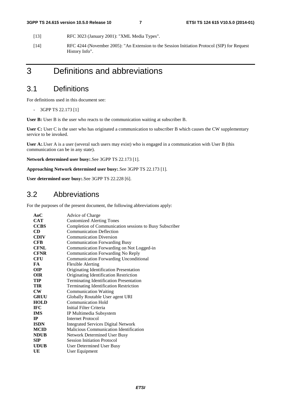- [13] RFC 3023 (January 2001): "XML Media Types".
- [14] RFC 4244 (November 2005): "An Extension to the Session Initiation Protocol (SIP) for Request History Info".

# 3 Definitions and abbreviations

## 3.1 Definitions

For definitions used in this document see:

- 3GPP TS 22.173 [1]

**User B:** User B is the user who reacts to the communication waiting at subscriber B.

User C: User C is the user who has originated a communication to subscriber B which causes the CW supplementary service to be invoked.

User A: User A is a user (several such users may exist) who is engaged in a communication with User B (this communication can be in any state).

**Network determined user busy:**.See 3GPP TS 22.173 [1].

**Approaching Network determined user busy:**.See 3GPP TS 22.173 [1].

**User determined user busy:**.See 3GPP TS 22.228 [6].

### 3.2 Abbreviations

For the purposes of the present document, the following abbreviations apply:

| AoC           | Advice of Charge                                        |
|---------------|---------------------------------------------------------|
| <b>CAT</b>    | <b>Customized Alerting Tones</b>                        |
| <b>CCBS</b>   | Completion of Communication sessions to Busy Subscriber |
| CD            | <b>Communication Deflection</b>                         |
| <b>CDIV</b>   | <b>Communication Diversion</b>                          |
| <b>CFB</b>    | <b>Communication Forwarding Busy</b>                    |
| <b>CFNL</b>   | Communication Forwarding on Not Logged-in               |
| <b>CFNR</b>   | <b>Communication Forwarding No Reply</b>                |
| <b>CFU</b>    | <b>Communication Forwarding Unconditional</b>           |
| FA.           | <b>Flexible Alerting</b>                                |
| <b>OIP</b>    | Originating Identification Presentation                 |
| <b>OIR</b>    | Originating Identification Restriction                  |
| TIP           | <b>Terminating Identification Presentation</b>          |
| <b>TIR</b>    | <b>Terminating Identification Restriction</b>           |
| $\mathbf{CW}$ | <b>Communication Waiting</b>                            |
| <b>GRUU</b>   | Globally Routable User agent URI                        |
| <b>HOLD</b>   | Communication Hold                                      |
| <b>IFC</b>    | Initial Filter Criteria                                 |
| <b>IMS</b>    | IP Multimedia Subsystem                                 |
| $\mathbf{I}$  | <b>Internet Protocol</b>                                |
| <b>ISDN</b>   | <b>Integrated Services Digital Network</b>              |
| <b>MCID</b>   | Malicious Communication Identification                  |
| <b>NDUB</b>   | <b>Network Determined User Busy</b>                     |
| <b>SIP</b>    | <b>Session Initiation Protocol</b>                      |
| <b>UDUB</b>   | User Determined User Busy                               |
| UE            | User Equipment                                          |
|               |                                                         |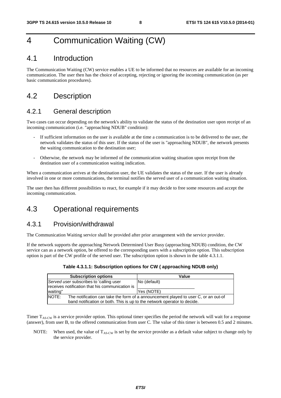# 4 Communication Waiting (CW)

### 4.1 Introduction

The Communication Waiting (CW) service enables a UE to be informed that no resources are available for an incoming communication. The user then has the choice of accepting, rejecting or ignoring the incoming communication (as per basic communication procedures).

## 4.2 Description

### 4.2.1 General description

Two cases can occur depending on the network's ability to validate the status of the destination user upon receipt of an incoming communication (i.e. "approaching NDUB" condition):

- If sufficient information on the user is available at the time a communication is to be delivered to the user, the network validates the status of this user. If the status of the user is "approaching NDUB", the network presents the waiting communication to the destination user;
- Otherwise, the network may be informed of the communication waiting situation upon receipt from the destination user of a communication waiting indication.

When a communication arrives at the destination user, the UE validates the status of the user. If the user is already involved in one or more communications, the terminal notifies the served user of a communication waiting situation.

The user then has different possibilities to react, for example if it may decide to free some resources and accept the incoming communication.

## 4.3 Operational requirements

### 4.3.1 Provision/withdrawal

The Communication Waiting service shall be provided after prior arrangement with the service provider.

If the network supports the approaching Network Determined User Busy (approaching NDUB) condition, the CW service can as a network option, be offered to the corresponding users with a subscription option. This subscription option is part of the CW profile of the served user. The subscription option is shown in the table 4.3.1.1.

**Table 4.3.1.1: Subscription options for CW ( approaching NDUB only)** 

| <b>Subscription options</b>                                                                          | Value        |  |  |
|------------------------------------------------------------------------------------------------------|--------------|--|--|
| Served user subscribes to 'calling user                                                              | No (default) |  |  |
| receives notification that his communication is                                                      |              |  |  |
| waiting"                                                                                             | Yes (NOTE)   |  |  |
| <b>INOTE:</b><br>The notification can take the form of a announcement played to user C, or an out-of |              |  |  |
| band notification or both. This is up to the network operator to decide.                             |              |  |  |

Timer  $T_{AS-CW}$  is a service provider option. This optional timer specifies the period the network will wait for a response (answer), from user B, to the offered communication from user C. The value of this timer is between 0.5 and 2 minutes.

NOTE: When used, the value of  $T_{AS-CW}$  is set by the service provider as a default value subject to change only by the service provider.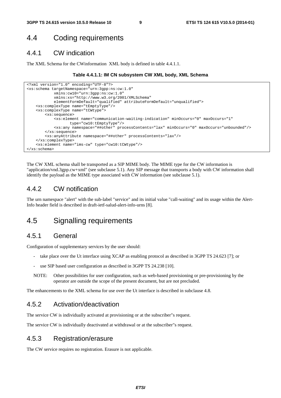## 4.4 Coding requirements

### 4.4.1 CW indication

The XML Schema for the CWinformation XML body is defined in table 4.4.1.1.

#### **Table 4.4.1.1: IM CN subsystem CW XML body, XML Schema**

```
<?xml version="1.0" encoding="UTF-8"?> 
<xs:schema targetNamespace="urn:3gpp:ns:cw:1.0" 
             xmlns:cw10="urn:3gpp:ns:cw:1.0" 
             xmlns:xs="http://www.w3.org/2001/XMLSchema" 
             elementFormDefault="qualified" attributeFormDefault="unqualified"> 
    <xs:complexType name="tEmptyType"/> 
    <xs:complexType name="tCWtype"> 
         <xs:sequence> 
             <xs:element name="communication-waiting-indication" minOccurs="0" maxOccurs="1" 
                    type="cw10:tEmptyType"/> 
             <xs:any namespace="##other" processContents="lax" minOccurs="0" maxOccurs="unbounded"/> 
         </xs:sequence> 
         <xs:anyAttribute namespace="##other" processContents="lax"/> 
     </xs:complexType> 
    <xs:element name="ims-cw" type="cw10:tCWtype"/> 
</xs:schema>
```
The CW XML schema shall be transported as a SIP MIME body. The MIME type for the CW information is "application/vnd.3gpp.cw+xml" (see subclause 5.1). Any SIP message that transports a body with CW information shall identify the payload as the MIME type associated with CW information (see subclause 5.1).

#### 4.4.2 CW notification

The urn namespace "alert" with the sub-label "service" and its initial value "call-waiting" and its usage within the Alert-Info header field is described in draft-ietf-salud-alert-info-urns [8].

## 4.5 Signalling requirements

#### 4.5.1 General

Configuration of supplementary services by the user should:

- take place over the Ut interface using XCAP as enabling protocol as described in 3GPP TS 24.623 [7]; or
- use SIP based user configuration as described in 3GPP TS 24.238 [10].
- NOTE: Other possibilities for user configuration, such as web-based provisioning or pre-provisioning by the operator are outside the scope of the present document, but are not precluded.

The enhancements to the XML schema for use over the Ut interface is described in subclause 4.8.

#### 4.5.2 Activation/deactivation

The service CW is individually activated at provisioning or at the subscriber"s request.

The service CW is individually deactivated at withdrawal or at the subscriber"s request.

#### 4.5.3 Registration/erasure

The CW service requires no registration. Erasure is not applicable.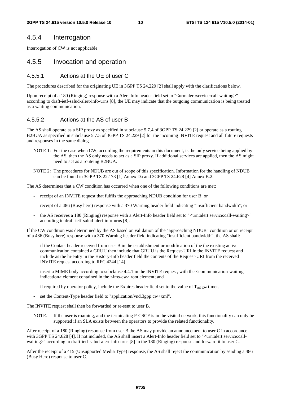#### 4.5.4 Interrogation

Interrogation of CW is not applicable.

#### 4.5.5 Invocation and operation

#### 4.5.5.1 Actions at the UE of user C

The procedures described for the originating UE in 3GPP TS 24.229 [2] shall apply with the clarifications below.

Upon receipt of a 180 (Ringing) response with a Alert-Info header field set to "<urn:alert:service:call-waiting>" according to draft-ietf-salud-alert-info-urns [8], the UE may indicate that the outgoing communication is being treated as a waiting communication.

#### 4.5.5.2 Actions at the AS of user B

The AS shall operate as a SIP proxy as specified in subclause 5.7.4 of 3GPP TS 24.229 [2] or operate as a routing B2BUA as specified in subclause 5.7.5 of 3GPP TS 24.229 [2] for the incoming INVITE request and all future requests and responses in the same dialog.

- NOTE 1: For the case when CW, according the requirements in this document, is the only service being applied by the AS, then the AS only needs to act as a SIP proxy. If additional services are applied, then the AS might need to act as a routeing B2BUA.
- NOTE 2: The procedures for NDUB are out of scope of this specification. Information for the handling of NDUB can be found in 3GPP TS 22.173 [1] Annex Da and 3GPP TS 24.628 [4] Annex B.2.

The AS determines that a CW condition has occurred when one of the following conditions are met:

- receipt of an INVITE request that fulfils the approaching NDUB condition for user B; or
- receipt of a 486 (Busy here) response with a 370 Warning header field indicating "insufficient bandwidth"; or
- the AS receives a 180 (Ringing) response with a Alert-Info header field set to "<urn:alert:service:call-waiting>" according to draft-ietf-salud-alert-info-urns [8].

If the CW condition was determined by the AS based on validation of the "approaching NDUB" condition or on receipt of a 486 (Busy here) response with a 370 Warning header field indicating "insufficient bandwidth", the AS shall:

- if the Contact header received from user B in the establishment or modification of the the existing active communication contained a GRUU then include that GRUU is the Request-URI in the INVITE request and include as the hi-entry in the History-Info header field the contents of the Request-URI from the received INVITE request according to RFC 4244 [14].
- insert a MIME body according to subclause 4.4.1 in the INVITE request, with the <communication-waitingindication > element contained in the <ims-cw> root element; and
- if required by operator policy, include the Expires header field set to the value of  $T_{AS-CW}$  timer.
- set the Content-Type header field to "application/vnd.3gpp.cw+xml".

The INVITE request shall then be forwarded or re-sent to user B.

NOTE. If the user is roaming, and the terminating P-CSCF is in the visited network, this functionality can only be supported if an SLA exists between the operators to provide the related functionality.

After receipt of a 180 (Ringing) response from user B the AS may provide an announcement to user C in accordance with 3GPP TS 24.628 [4]. If not included, the AS shall insert a Alert-Info header field set to "<urn:alert:service:callwaiting>" according to draft-ietf-salud-alert-info-urns [8] in the 180 (Ringing) response and forward it to user C.

After the receipt of a 415 (Unsupported Media Type) response, the AS shall reject the communication by sending a 486 (Busy Here) response to user C.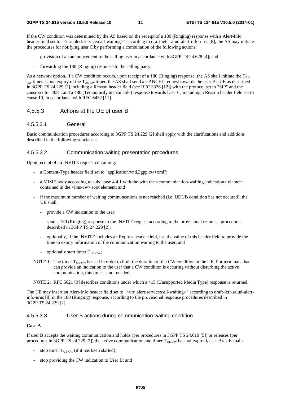If the CW condition was determined by the AS based on the receipt of a 180 (Ringing) response with a Alert-Info header field set to "<urn:alert:service:call-waiting>" according to draft-ietf-salud-alert-info-urns [8], the AS may initiate the procedures for notifying user C by performing a combination of the following actions:

- provision of an announcement to the calling user in accordance with 3GPP TS 24.628 [4]; and
- forwarding the 180 (Ringing) response to the calling party.

As a network option, if a CW condition occurs, upon receipt of a 180 (Ringing) response, the AS shall initiate the  $T_{AS}$ cw timer. Upon expiry of the T<sub>AS-CW</sub> timer, the AS shall send a CANCEL request towards the user B's UE as described in 3GPP TS 24.229 [2] including a Reason header field (see RFC 3326 [12]) with the protocol set to "SIP" and the cause set to "408", and a 480 (Temporarily unavailable) response towards User C, including a Reason header field set to cause 19, in accordance with RFC 6432 [11].

#### 4.5.5.3 Actions at the UE of user B

#### 4.5.5.3.1 General

Basic communication procedures according to 3GPP TS 24.229 [2] shall apply with the clarifications and additions described in the following subclauses.

#### 4.5.5.3.2 Communication waiting presentation procedures

Upon receipt of an INVITE request containing:

- a Content-Type header field set to "application/vnd.3gpp.cw+xml";
- a MIME body according to subclause 4.4.1 with the with the <communication-waiting-indication> element contained in the  $\langle$ ims-cw $\rangle$  root element; and
- if the maximum number of waiting communcations is not reached (i.e. UDUB condition has not occured), the UE shall:
	- provide a CW indication to the user;
	- send a 180 (Ringing) response to the INVITE request according to the provisional response procedures described in 3GPP TS 24.229 [2];
	- optionally, if the INVITE includes an Expires header field, use the value of this header field to provide the time to expiry information of the communication waiting to the user; and
	- optionally start timer  $T_{\text{UE-CW}}$ ;
- NOTE 1: The timer  $T_{\text{UE-CW}}$  is used in order to limit the duration of the CW condition at the UE. For terminals that can provide an indication to the user that a CW condition is occuring without disturbing the active communication, this timer is not needed.

NOTE 2: RFC 5621 [9] describes conditions under which a 415 (Unsupported Media Type) response is returned.

The UE may insert an Alert-Info header field set to "<urn:alert:service:call-waiting>" according to draft-ietf-salud-alertinfo-urns [8] in the 180 (Ringing) response, according to the provisional response procedures described in 3GPP TS 24.229 [2].

#### 4.5.5.3.3 User B actions during communication waiting condition

#### **Case A**

If user B accepts the waiting communication and holds (per procedures in 3GPP TS 24.610 [5]) or releases (per procedures in 3GPP TS 24.229 [2]) the active communication and timer  $T_{UE-CW}$  has not expired, user B's UE shall:

- stop timer  $T_{\text{UE-CW}}$  (if it has been started);
- stop providing the CW indication to User B; and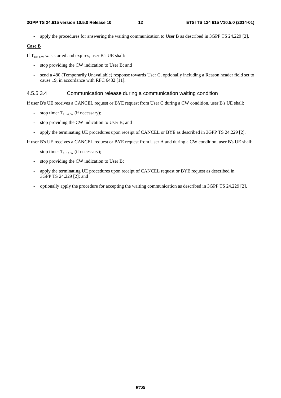- apply the procedures for answering the waiting communication to User B as described in 3GPP TS 24.229 [2].

#### **Case B**

If  $T<sub>UE-CW</sub>$  was started and expires, user B's UE shall:

- stop providing the CW indication to User B; and
- send a 480 (Temporarily Unavailable) response towards User C, optionally including a Reason header field set to cause 19, in accordance with RFC 6432 [11].

#### 4.5.5.3.4 Communication release during a communication waiting condition

If user B's UE receives a CANCEL request or BYE request from User C during a CW condition, user B's UE shall:

- stop timer  $T_{UE-CW}$  (if necessary);
- stop providing the CW indication to User B; and
- apply the terminating UE procedures upon receipt of CANCEL or BYE as described in 3GPP TS 24.229 [2].

If user B's UE receives a CANCEL request or BYE request from User A and during a CW condition, user B's UE shall:

- stop timer  $T_{UE-CW}$  (if necessary);
- stop providing the CW indication to User B;
- apply the terminating UE procedures upon receipt of CANCEL request or BYE request as described in 3GPP TS 24.229 [2]; and
- optionally apply the procedure for accepting the waiting communication as described in 3GPP TS 24.229 [2].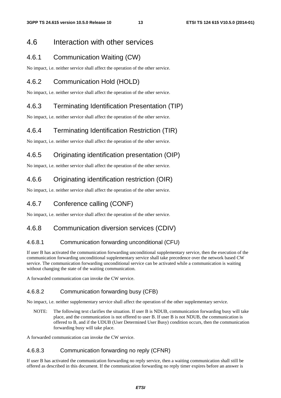### 4.6 Interaction with other services

### 4.6.1 Communication Waiting (CW)

No impact, i.e. neither service shall affect the operation of the other service.

### 4.6.2 Communication Hold (HOLD)

No impact, i.e. neither service shall affect the operation of the other service.

### 4.6.3 Terminating Identification Presentation (TIP)

No impact, i.e. neither service shall affect the operation of the other service.

### 4.6.4 Terminating Identification Restriction (TIR)

No impact, i.e. neither service shall affect the operation of the other service.

## 4.6.5 Originating identification presentation (OIP)

No impact, i.e. neither service shall affect the operation of the other service.

### 4.6.6 Originating identification restriction (OIR)

No impact, i.e. neither service shall affect the operation of the other service.

### 4.6.7 Conference calling (CONF)

No impact, i.e. neither service shall affect the operation of the other service.

### 4.6.8 Communication diversion services (CDIV)

#### 4.6.8.1 Communication forwarding unconditional (CFU)

If user B has activated the communication forwarding unconditional supplementary service, then the execution of the communication forwarding unconditional supplementary service shall take precedence over the network based CW service. The communication forwarding unconditional service can be activated while a communication is waiting without changing the state of the waiting communication.

A forwarded communication can invoke the CW service.

#### 4.6.8.2 Communication forwarding busy (CFB)

No impact, i.e. neither supplementary service shall affect the operation of the other supplementary service.

NOTE: The following text clarifies the situation. If user B is NDUB, communication forwarding busy will take place, and the communication is not offered to user B. If user B is not NDUB, the communication is offered to B, and if the UDUB (User Determined User Busy) condition occurs, then the communication forwarding busy will take place.

A forwarded communication can invoke the CW service.

#### 4.6.8.3 Communication forwarding no reply (CFNR)

If user B has activated the communication forwarding no reply service, then a waiting communication shall still be offered as described in this document. If the communication forwarding no reply timer expires before an answer is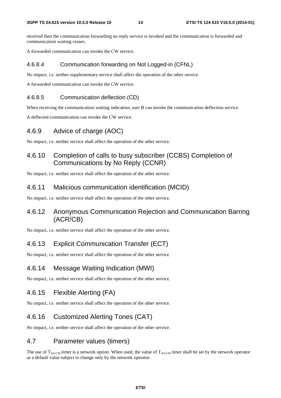received then the communication forwarding no reply service is invoked and the communication is forwarded and communication waiting ceases.

A forwarded communication can invoke the CW service.

#### 4.6.8.4 Communication forwarding on Not Logged-in (CFNL)

No impact, i.e. neither supplementary service shall affect the operation of the other service.

A forwarded communication can invoke the CW service.

#### 4.6.8.5 Communication deflection (CD)

When receiving the communication waiting indication, user B can invoke the communication deflection service.

A deflected communication can invoke the CW service.

### 4.6.9 Advice of charge (AOC)

No impact, i.e. neither service shall affect the operation of the other service.

### 4.6.10 Completion of calls to busy subscriber (CCBS) Completion of Communications by No Reply (CCNR)

No impact, i.e. neither service shall affect the operation of the other service.

#### 4.6.11 Malicious communication identification (MCID)

No impact, i.e. neither service shall affect the operation of the other service.

### 4.6.12 Anonymous Communication Rejection and Communication Barring (ACR/CB)

No impact, i.e. neither service shall affect the operation of the other service.

### 4.6.13 Explicit Communication Transfer (ECT)

No impact, i.e. neither service shall affect the operation of the other service.

### 4.6.14 Message Waiting Indication (MWI)

No impact, i.e. neither service shall affect the operation of the other service.

### 4.6.15 Flexible Alerting (FA)

No impact, i.e. neither service shall affect the operation of the other service.

### 4.6.16 Customized Alerting Tones (CAT)

No impact, i.e. neither service shall affect the operation of the other service.

### 4.7 Parameter values (timers)

The use of  $T_{AS-CW}$  timer is a network option. When used, the value of  $T_{AS-CW}$  timer shall be set by the network operator as a default value subject to change only by the network operator.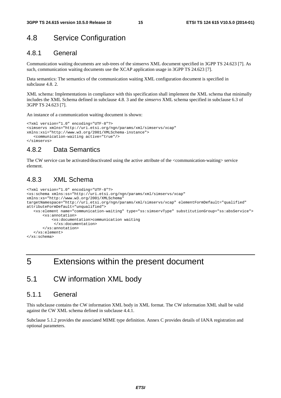## 4.8 Service Configuration

### 4.8.1 General

Communication waiting documents are sub-trees of the simservs XML document specified in 3GPP TS 24.623 [7]. As such, communication waiting documents use the XCAP application usage in 3GPP TS 24.623 [7].

Data semantics: The semantics of the communication waiting XML configuration document is specified in subclause 4.8. 2.

XML schema: Implementations in compliance with this specification shall implement the XML schema that minimally includes the XML Schema defined in subclause 4.8. 3 and the *simservs* XML schema specified in subclause 6.3 of 3GPP TS 24.623 [7].

An instance of a communication waiting document is shown:

```
<?xml version="1.0" encoding="UTF-8"?> 
<simservs xmlns="http://uri.etsi.org/ngn/params/xml/simservs/xcap" 
xmlns:xsi="http://www.w3.org/2001/XMLSchema-instance"> 
    <communication-waiting active="true"/> 
</simservs>
```
### 4.8.2 Data Semantics

The CW service can be activated/deactivated using the active attribute of the <communication-waiting> service element.

### 4.8.3 XML Schema

```
<?xml version="1.0" encoding="UTF-8"?> 
<xs:schema xmlns:ss="http://uri.etsi.org/ngn/params/xml/simservs/xcap" 
xmlns:xs="http://www.w3.org/2001/XMLSchema" 
targetNamespace="http://uri.etsi.org/ngn/params/xml/simservs/xcap" elementFormDefault="qualified" 
attributeFormDefault="unqualified"> 
    <xs:element name="communication-waiting" type="ss:simservType" substitutionGroup="ss:absService"> 
        <xs:annotation> 
            <xs:documentation>communication waiting 
             </xs:documentation> 
        </xs:annotation> 
    </xs:element> 
</xs:schema>
```

```
5 Extensions within the present document
```
## 5.1 CW information XML body

#### 5.1.1 General

This subclause contains the CW information XML body in XML format. The CW information XML shall be valid against the CW XML schema defined in subclause 4.4.1.

Subclause 5.1.2 provides the associated MIME type definition. Annex C provides details of IANA registration and optional parameters.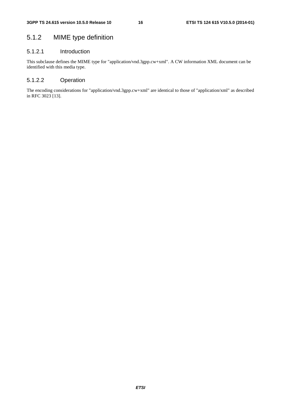## 5.1.2 MIME type definition

#### 5.1.2.1 Introduction

This subclause defines the MIME type for "application/vnd.3gpp.cw+xml". A CW information XML document can be identified with this media type.

#### 5.1.2.2 Operation

The encoding considerations for "application/vnd.3gpp.cw+xml" are identical to those of "application/xml" as described in RFC 3023 [13].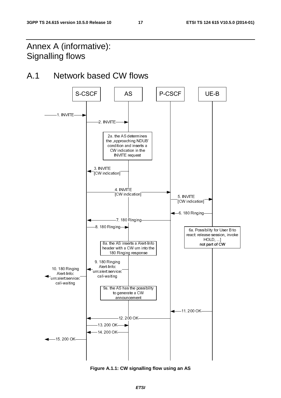# Annex A (informative): Signalling flows

# A.1 Network based CW flows



**Figure A.1.1: CW signalling flow using an AS**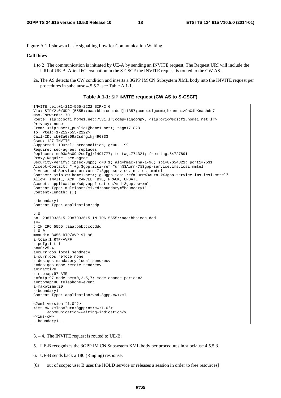Figure A.1.1 shows a basic signalling flow for Communication Waiting.

#### **Call flows**

- 1 to 2 The communication is initiated by UE-A by sending an INVITE request. The Request URI will include the URI of UE-B. After IFC evaluation in the S-CSCF the INVITE request is routed to the CW AS.
- 2a. The AS detects the CW condition and inserts a 3GPP IM CN Subsystem XML body into the INVITE request per procedures in subclause 4.5.5.2, see Table A.1-1.

#### **Table A.1-1: SIP INVITE request (CW AS to S-CSCF)**

```
INVITE tel:+1-212-555-2222 SIP/2.0 
Via: SIP/2.0/UDP [5555::aaa:bbb:ccc:ddd]:1357;comp=sigcomp;branch=z9hG4bKnashds7 
Max-Forwards: 70 
Route: sip:pcscf1.home1.net:7531;lr;comp=sigcomp>, <sip:orig@scscf1.home1.net;lr> 
Privacy: none 
From: <sip:user1_public1@home1.net>; tag=171828 
To: <tel:+1-212-555-2222> 
Call-ID: cb03a0s09a2sdfglkj490333 
Cseq: 127 INVITE 
Supported: 100rel; precondition, gruu, 199 
Require: sec-agree; replaces 
Replaces: me03a0s09a2sdfgjkl491777; to-tag=774321; from-tag=64727891 
Proxy-Require: sec-agree 
Security-Verify: ipsec-3gpp; q=0.1; alg=hmac-sha-1-96; spi=87654321; port1=7531 
Accept-Contact: *;+g.3gpp.icsi-ref="urn%3Aurn-7%3gpp-service.ims.icsi.mmtel" 
P-Asserted-Service: urn:urn-7:3gpp-service.ims.icsi.mmtel 
Contact: <sip:cw.home1.net>;+g.3gpp.icsi-ref="urn%3Aurn-7%3gpp-service.ims.icsi.mmtel" 
Allow: INVITE, ACK, CANCEL, BYE, PRACK, UPDATE 
Accept: application/sdp,application/vnd.3gpp.cw+xml 
Content-Type: multipart/mixed;boundary="boundary1" 
Content-Length: (…) 
--boundary1 
Content-Type: application/sdp 
v=0o=- 2987933615 2987933615 IN IP6 5555::aaa:bbb:ccc:ddd 
s=-c=IN IP6 5555::aaa:bbb:ccc:ddd 
t=0 0
m=audio 3456 RTP/AVP 97 96 
a=tcap:1 RTP/AVPF 
a=pcfg:1 t=1 
b=AS:25.4 
a=curr:qos local sendrecv 
a=curr:qos remote none 
a=des:qos mandatory local sendrecv 
a=des:qos none remote sendrecv 
a=inactive 
a=rtpmap:97 AMR 
a=fmtp:97 mode-set=0,2,5,7; mode-change-period=2 
a=rtpmap:96 telephone-event 
a=maxptime:20 
--boundary1 
Content-Type: application/vnd.3gpp.cw+xml 
<?xml version="1.0"?> 
<ims-cw xmlns="urn:3gpp:ns:cw:1.0"> 
      <communication-waiting-indication/> 
\langleims-cw\rangle--boundary1--
```
3. – 4. The INVITE request is routed to UE-B.

- 5. UE-B recognizes the 3GPP IM CN Subsystem XML body per procedures in subclause 4.5.5.3.
- 6. UE-B sends back a 180 (Ringing) response.
- [6a. out of scope: user B uses the HOLD service or releases a session in order to free resources]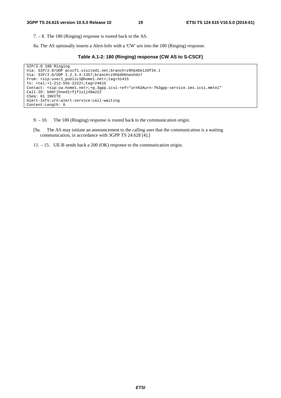7. – 8. The 180 (Ringing) response is routed back to the AS.

8a. The AS optionally inserts a Alert-Info with a 'CW' urn into the 180 (Ringing) response.

```
Table A.1-2: 180 (Ringing) response (CW AS to S-CSCF)
```

```
SIP/2.0 180 Ringing 
Via: SIP/2.0/UDP pcscf1.visited1.net;branch=z9hG4bk120f34.1 
Via: SIP/2.0/UDP 1.2.3.4:1357;branch=z9hG4bKnashds7 
From: <sip:user1_public1@home1.net>;tag=31415 
To: <tel:+1-212-555-2222>;tag=24615 
Contact: <sip:cw.home1.net>;+g.3gpp.icsi-ref="urn%3Aurn-7%3gpp-service.ims.icsi.mmtel" 
Call-ID: b89rjhnedlrfjflslj40a222 
CSeq: 61 INVITE 
Alert-Info:urn:alert:service:call-waiting 
Content-Length: 0
```
- 9. 10. The 180 (Ringing) response is routed back to the communication origin.
- [9a. The AS may initiate an announcement to the calling user that the communication is a waiting communication, in accordance with 3GPP TS 24.628 [4].]
- 11. 15. UE-B sends back a 200 (OK) response to the communication origin.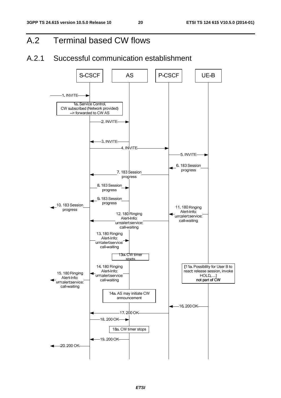# A.2 Terminal based CW flows

## A.2.1 Successful communication establishment

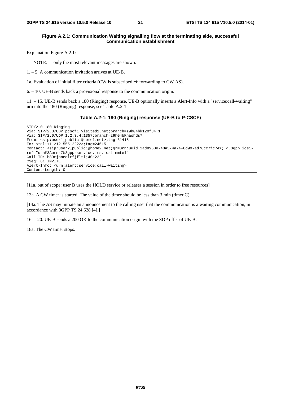#### **Figure A.2.1: Communication Waiting signalling flow at the terminating side, successful communication establishment**

Explanation Figure A.2.1:

NOTE: only the most relevant messages are shown.

1. – 5. A communication invitation arrives at UE-B.

1a. Evaluation of initial filter criteria (CW is subscribed  $\rightarrow$  forwarding to CW AS).

6. – 10. UE-B sends back a provisional response to the communication origin.

11. – 15. UE-B sends back a 180 (Ringing) response. UE-B optionally inserts a Alert-Info with a "service:call-waiting" urn into the 180 (Ringing) response, see Table A.2-1.

#### **Table A.2-1: 180 (Ringing) response (UE-B to P-CSCF)**

```
SIP/2.0 180 Ringing 
Via: SIP/2.0/UDP pcscf1.visited1.net;branch=z9hG4bk120f34.1 
Via: SIP/2.0/UDP 1.2.3.4:1357;branch=z9hG4bKnashds7 
From: <sip:user1_public1@home1.net>;tag=31415 
To: <tel:+1-212-555-2222>;tag=24615 
Contact: <sip:user2_public1@home2.net;gr=urn:uuid:2ad8950e-48a5-4a74-8d99-ad76cc7fc74>;+g.3gpp.icsi-
ref="urn%3Aurn-7%3gpp-service.ims.icsi.mmtel" 
Call-ID: b89rjhnedlrfjflslj40a222 
CSeq: 61 INVITE 
Alert-Info: <urn:alert:service:call-waiting> 
Content-Length: 0
```
[11a. out of scope: user B uses the HOLD service or releases a session in order to free resources]

13a. A CW timer is started. The value of the timer should be less than 3 min (timer C).

[14a. The AS may initiate an announcement to the calling user that the communication is a waiting communication, in accordance with 3GPP TS 24.628 [4].]

16. – 20. UE-B sends a 200 OK to the communication origin with the SDP offer of UE-B.

18a. The CW timer stops.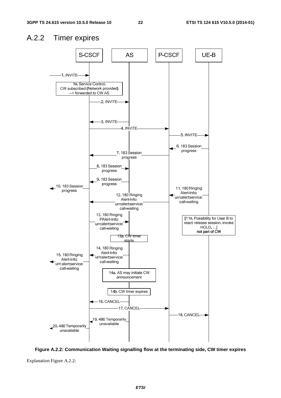### A.2.2 Timer expires



**Figure A.2.2: Communication Waiting signalling flow at the terminating side, CW timer expires** 

Explanation Figure A.2.2: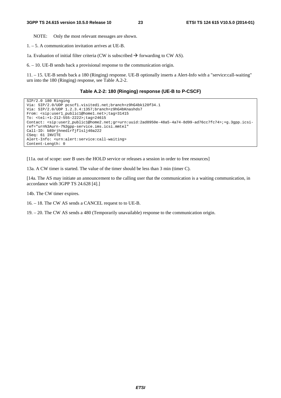NOTE: Only the most relevant messages are shown.

1. – 5. A communication invitation arrives at UE-B.

1a. Evaluation of initial filter criteria (CW is subscribed  $\rightarrow$  forwarding to CW AS).

6. – 10. UE-B sends back a provisional response to the communication origin.

11. – 15. UE-B sends back a 180 (Ringing) response. UE-B optionally inserts a Alert-Info with a "service:call-waiting" urn into the 180 (Ringing) response, see Table A.2-2.

#### **Table A.2-2: 180 (Ringing) response (UE-B to P-CSCF)**

```
SIP/2.0 180 Ringing 
Via: SIP/2.0/UDP pcscf1.visited1.net;branch=z9hG4bk120f34.1 
Via: SIP/2.0/UDP 1.2.3.4:1357;branch=z9hG4bKnashds7
From: <sip:user1_public1@home1.net>;tag=31415 
To: <tel:+1-212-555-2222>;tag=24615 
Contact: <sip:user2_public1@home2.net;gr=urn:uuid:2ad8950e-48a5-4a74-8d99-ad76cc7fc74>;+g.3gpp.icsi-
ref="urn%3Aurn-7%3gpp-service.ims.icsi.mmtel" 
Call-ID: b89rjhnedlrfjflslj40a222 
CSeq: 61 INVITE 
Alert-Info: <urn:alert:service:call-waiting> 
Content-Length: 0
```
[11a. out of scope: user B uses the HOLD service or releases a session in order to free resources]

13a. A CW timer is started. The value of the timer should be less than 3 min (timer C).

[14a. The AS may initiate an announcement to the calling user that the communication is a waiting communication, in accordance with 3GPP TS 24.628 [4].]

14b. The CW timer expires.

16. – 18. The CW AS sends a CANCEL request to to UE-B.

19. – 20. The CW AS sends a 480 (Temporarily unavailable) response to the communication origin.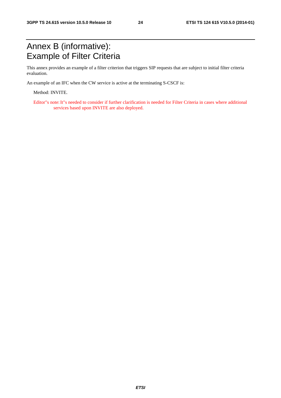# Annex B (informative): Example of Filter Criteria

This annex provides an example of a filter criterion that triggers SIP requests that are subject to initial filter criteria evaluation.

An example of an IFC when the CW service is active at the terminating S-CSCF is:

Method: INVITE.

Editor"s note: It"s needed to consider if further clarification is needed for Filter Criteria in cases where additional services based upon INVITE are also deployed.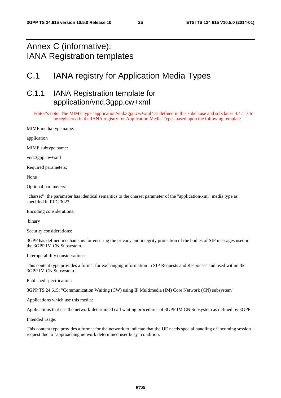# Annex C (informative): IANA Registration templates

# C.1 IANA registry for Application Media Types

## C.1.1 IANA Registration template for application/vnd.3gpp.cw+xml

Editor"s note: The MIME type "application/vnd.3gpp.cw+xml" as defined in this subclause and subclause 4.4.1 is to be registered in the IANA registry for Application Media Types based upon the following template.

MIME media type name:

application

MIME subtype name:

vnd.3gpp.cw+xml

Required parameters:

None

Optional parameters:

"charset" the parameter has identical semantics to the charset parameter of the "application/xml" media type as specified in RFC 3023.

Encoding considerations:

binary

Security considerations:

3GPP has defined mechanisms for ensuring the privacy and integrity protection of the bodies of SIP messages used in the 3GPP IM CN Subsystem.

Interoperability considerations:

This content type provides a format for exchanging information in SIP Requests and Responses and used within the 3GPP IM CN Subsystem.

Published specification:

3GPP TS 24.615: "Communication Waiting (CW) using IP Multimedia (IM) Core Network (CN) subsystem"

Applications which use this media:

Applications that use the network-determined call waiting procedures of 3GPP IM CN Subsystem as defined by 3GPP.

Intended usage:

This content type provides a format for the network to indicate that the UE needs special handling of incoming session request due to "approaching network determined user busy" condition.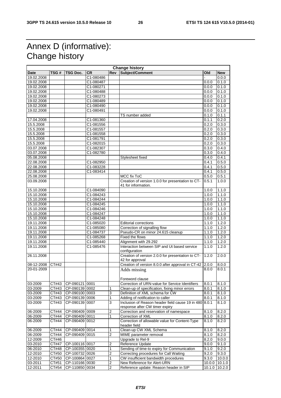# Annex D (informative): Change history

| <b>Change history</b> |       |                |           |                         |                                                                      |                     |                |
|-----------------------|-------|----------------|-----------|-------------------------|----------------------------------------------------------------------|---------------------|----------------|
| <b>Date</b>           | TSG#  | TSG Doc.       | <b>CR</b> | <b>Rev</b>              | Subject/Comment                                                      | Old                 | <b>New</b>     |
| 19.02.2008            |       |                | C1-080486 |                         |                                                                      |                     | 0.0.0          |
| 19.02.2008            |       |                | C1-080487 |                         |                                                                      | 0.0.0               | 0.1.0          |
| 19.02.2008            |       |                | C1-080271 |                         |                                                                      | 0.0.0               | 0.1.0          |
| 19.02.2008            |       |                | C1-080488 |                         |                                                                      | 0.0.0               | 0.1.0          |
| 19.02.2008            |       |                | C1-080273 |                         |                                                                      | 0.0.0               | 0.1.0          |
| 19.02.2008            |       |                | C1-080489 |                         |                                                                      | 0.0.0               | 0.1.0          |
| 19.02.2008            |       |                | C1-080490 |                         |                                                                      | 0.0.0               | 0.1.0          |
| 19.02.2008            |       |                | C1-080491 |                         |                                                                      | 0.0.0               | 0.1.0          |
|                       |       |                |           |                         | TS number added                                                      | 0.1.0               | 0.1.1          |
| 17.04.2008            |       |                | C1-081360 |                         |                                                                      | 0.1.1               | 0.2.0          |
|                       |       |                |           |                         |                                                                      | 0.2.0               |                |
| 15.5.2008             |       |                | C1-081556 |                         |                                                                      |                     | 0.3.0          |
| 15.5.2008             |       |                | C1-081557 |                         |                                                                      | 0.2.0               | 0.3.0          |
| 15.5.2008             |       |                | C1-081558 |                         |                                                                      | 0.2.0               | 0.3.0          |
| 15.5.2008             |       |                | C1-081791 |                         |                                                                      | 0.2.0               | 0.3.0          |
| 15.5.2008             |       |                | C1-082015 |                         |                                                                      | 0.2.0               | 0.3.0          |
| 03.07.2008            |       |                | C1-082307 |                         |                                                                      | 0.3.0               | 0.4.0          |
| 03.07.2008            |       |                | C1-082780 |                         |                                                                      | 0.3.0               | 0.4.0          |
| 05.08.2008            |       |                |           |                         | Stylesheet fixed                                                     | 0.4.0               | 0.4.1          |
| 22.08.2008            |       |                | C1-082950 |                         |                                                                      | 0.4.1               | 0.5.0          |
| 22.08.2008            |       |                | C1-083228 |                         |                                                                      | 0.4.1               | 0.5.0          |
| 22.08.2008            |       |                | C1-083414 |                         |                                                                      | 0.4.1               | 0.5.0          |
| 25.08.2008            |       |                |           |                         | MCC fix ToC                                                          | 0.5.0               | 0.5.1          |
| 03.09.2008            |       |                |           |                         | Creation of version 1.0.0 for presentation to CT-                    | 0.5.1               | 1.0.0          |
|                       |       |                |           |                         | 41 for information.                                                  |                     |                |
| 15.10.2008            |       |                | C1-084090 |                         |                                                                      | 1.0.0               | 1.1.0          |
| 15.10.2008            |       |                | C1-084243 |                         |                                                                      | 1.0.0               | 1.1.0          |
| 15.10.2008            |       |                | C1-084244 |                         |                                                                      | 1.0.0               | 1.1.0          |
| 15.10.2008            |       |                | C1-084245 |                         |                                                                      | 1.0.0               | 1.1.0          |
| 15.10.2008            |       |                | C1-084246 |                         |                                                                      | 1.0.0               | 1.1.0          |
| 15.10.2008            |       |                | C1-084247 |                         |                                                                      | 1.0.0               | 1.1.0          |
|                       |       |                | C1-084248 |                         |                                                                      |                     | 1.1.0          |
| 15.10.2008            |       |                |           |                         |                                                                      | 1.0.0               |                |
| 19.11.2008            |       |                | C1-085020 |                         | <b>Editorial corrections</b>                                         | 1.1.0               | 1.2.0          |
| 19.11.2008            |       |                | C1-085080 |                         | Correction of signalling flow                                        | $\overline{1}$ .1.0 | 1.2.0          |
| 19.11.2008            |       |                | C1-084737 |                         | Pseudo-CR on minor 24.615 cleanup                                    | 1.1.0               | 1.2.0          |
| 19.11.2008            |       |                | C1-085268 |                         | Fixed the flows                                                      | 1.1.0               | 1.2.0          |
| 19.11.2008            |       |                | C1-085440 |                         | Alignment with 29.292                                                | $\overline{1}$ .1.0 | 1.2.0          |
| 19.11.2008            |       |                | C1-085476 |                         | Interaction between SIP and Ut based service<br>configuration        | 1.1.0               | 1.2.0          |
| 26.11.2008            |       |                |           |                         | Creation of version 2.0.0 for presentation to CT-<br>42 for approval | 1.2.0               | 2.0.0          |
|                       | CT#42 |                |           |                         | Creation of version 8.0.0 after approval in CT-42                    |                     |                |
| 08-12-2008            |       |                |           |                         |                                                                      | 2.0.0<br>8.0.0      | 8.0.0<br>8.0.1 |
| 20-01-2009            |       |                |           |                         | Adds missing                                                         |                     |                |
|                       |       |                |           |                         | Foreword clause                                                      |                     |                |
| 03-2009               | CT#43 | CP-090121 0001 |           |                         | Correction of URN-value for Service Identifiers                      | 8.0.1               | 8.1.0          |
| 03-2009               | CT#43 | CP-090139 0002 |           | 1                       | Clean-up of specification, fixing minor errors                       | 8.0.1               | 8.1.0          |
| 03-2009               | CT#43 | CP-090100 0003 |           | 3                       | Definition of XML schema for CW                                      | 8.0.1               | 8.1.0          |
| 03-2009               | CT#43 | CP-090139 0006 |           | $\mathbf{1}$            | Adding of notification to caller                                     | 8.0.1               | 8.1.0          |
| 03-2009               | CT#43 | CP-090139 0007 |           | 3                       | Inclusion of Reason header field cause 19 in 480                     | 8.0.1               | 8.1.0          |
|                       |       |                |           |                         | response after CW timer expiry                                       |                     |                |
| 06-2009               | CT#44 | CP-090409 0009 |           | $\overline{\mathbf{c}}$ | Correction and reservation of namespace                              | 8.1.0               | 8.2.0          |
| 06-2009               | CT#44 | CP-090409 0011 |           | $\mathbf{1}$            | Correction of XML                                                    | 8.1.0               | 8.2.0          |
| 06-2009               | CT#44 | CP-09040910012 |           |                         | Correction of allowable value for Content-Type                       | 8.1.0               | 8.2.0          |
|                       |       |                |           |                         | header field                                                         |                     |                |
| 06-2009               | CT#44 | CP-090409 0014 |           | 1                       | Clean-up CW XML Schema                                               | 8.1.0               | 8.2.0          |
| 06-2009               | CT#44 | CP-090409 0015 |           | $\overline{2}$          | MIME parameter removal                                               | 8.1.0               | 8.2.0          |
| 12-2009               | CT#46 |                |           |                         | Upgrade to Rel-9                                                     | 8.2.0               | 9.0.0          |
| 03-2010               | CT#47 | CP-100116 0017 |           | 2                       | Reference Update                                                     | 9.0.0               | 9.1.0          |
| 06-2010               | CT#48 | CP-100355 0020 |           | $\mathbf{1}$            | Sending of time-to expiry for Communication                          | 9.1.0               | 9.2.0          |
| 12-2010               | CT#50 | CP-100732 0026 |           | 2                       | Correcting procedures for Call Waiting                               | 9.2.0               | 9.3.0          |
| 12-2010               | CT#50 | CP-100864 0027 |           | 1                       | CW insufficient bandwidth procedures                                 | 9.3.0               | 10.0.0         |
| 03-2011               | CT#51 | CP-110166 0030 |           | 2                       | New Reference for Alert-URN                                          |                     | 10.0.0 10.1.0  |
| 12-2011               | CT#54 | CP-110850 0034 |           | $\overline{2}$          | Reference update: Reason header in SIP                               | 10.1.0              | 10.2.0         |
|                       |       |                |           |                         |                                                                      |                     |                |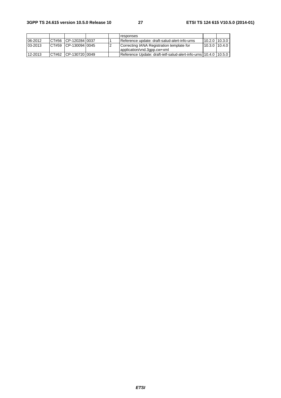|             |                        |  | responses                                                                |               |  |
|-------------|------------------------|--|--------------------------------------------------------------------------|---------------|--|
| $06 - 2012$ | ICT#56 ICP-120284 0037 |  | Reference update: draft-salud-alert-info-urns                            | 10.2.0 10.3.0 |  |
| $03 - 2013$ | CT#59 ICP-130094 0045  |  | Correcting IANA Registration template for<br>application/vnd.3gpp.cw+xml | 10.3.0 10.4.0 |  |
| 12-2013     | CT#62 CP-13072010049   |  | Reference Update: draft-jetf-salud-alert-info-urns 110.4.0 110.5.0       |               |  |